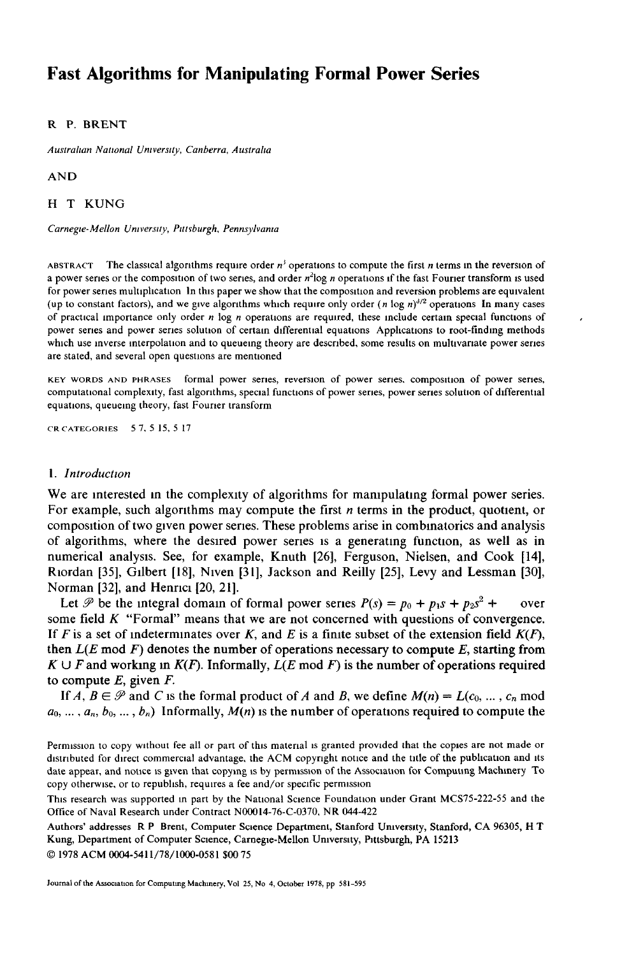# **Fast Algorithms for Manipulating Formal Power Series**

#### R P. BRENT

*Australian National Umverstty, Canberra, Austraha* 

AND

H T KUNG

*Carnegie-Mellon Umvers:ty, Pittsburgh, Pennsylvama* 

ABSTRACT The classical algorithms require order  $n^3$  operations to compute the first n terms in the reversion of a power series or the composition of two series, and order  $n^2$ log n operations if the fast Fourier transform is used for power series multiplication In this paper we show that the composition and reversion problems are equivalent (up to constant factors), and we give algorithms which require only order (n log  $n$ ) $^{3/2}$  operations In many cases of practical importance only order  $n \log n$  operations are required, these include certain special functions of power series and power series solution of certain differential equations Applications to root-finding methods which use inverse mterpolauon and to queuemg theory are described, some results on multivariate power series are stated, and several open questions are mentioned

**KEY** WORDS AND PHRASES formal power series, reversion of power series, composition of power series, computational complexity, fast algorithms, special functions of power series, power series solution of differential equations, queueing theory, fast Fourier transform

CRCATEGORIES 57,5 15,5 17

#### *1. Introduction*

We are interested in the complexity of algorithms for manipulating formal power series. For example, such algorithms may compute the first *n* terms in the product, quotient, or **composition of two gwen power series. These problems arise in combmatorics and analysis of algorithms, where the desired power series is a generating function, as well as in numerical analysis. See, for example, Knuth [26], Ferguson, Nielsen, and Cook [14], Riordan [35], Gilbert [18], Nwen [31], Jackson and Reilly [25], Levy and Lessman [30], Norman [32], and Henrici [20, 21].** 

Let  $\mathcal{P}$  be the integral domain of formal power series  $P(s) = p_0 + p_1s + p_2s^2 + \cdots$  over **some field K "Formal" means that we are not concerned with questions of convergence.**  If  $F$  is a set of indeterminates over  $K$ , and  $E$  is a finite subset of the extension field  $K(F)$ , then  $L(E \text{ mod } F)$  denotes the number of operations necessary to compute  $E$ , starting from  $K \cup F$  and working in  $K(F)$ . Informally,  $L(E \text{ mod } F)$  is the number of operations required to compute  $E$ , given  $F$ .

If  $A, B \in \mathcal{P}$  and C is the formal product of A and B, we define  $M(n) = L(c_0, ..., c_n \text{ mod } n)$  $a_0, \ldots, a_n, b_0, \ldots, b_n$  Informally,  $M(n)$  is the number of operations required to compute the

Permission to copy without fee all or part of this material is granted provided that the copies are not made or distributed for direct commercial advantage, the ACM copyright notice and the title of the publication and its date appear, and notice is given that copying is by permission of the Association for Computing Machinery To copy otherwise, or to republish, requires a fee and/or specific permission

This research was supported in part by the National Science Foundation under Grant MCS75-222-55 and the Office of Naval Research under Contract N00014-76-C-0370, NR 044-422

Authors' addresses R P Brent, Computer Science Department, Stanford Umverslty, Stanford, CA 96305, H T Kung, Department of Computer Science, Carnegie-Mellon University, Pittsburgh, PA 15213 © 1978 ACM 0004-5411/78/1000-0581 \$00 75

Journal of the Association for Computmg Machinery, Vol 25, No 4, October 1978, pp 581-595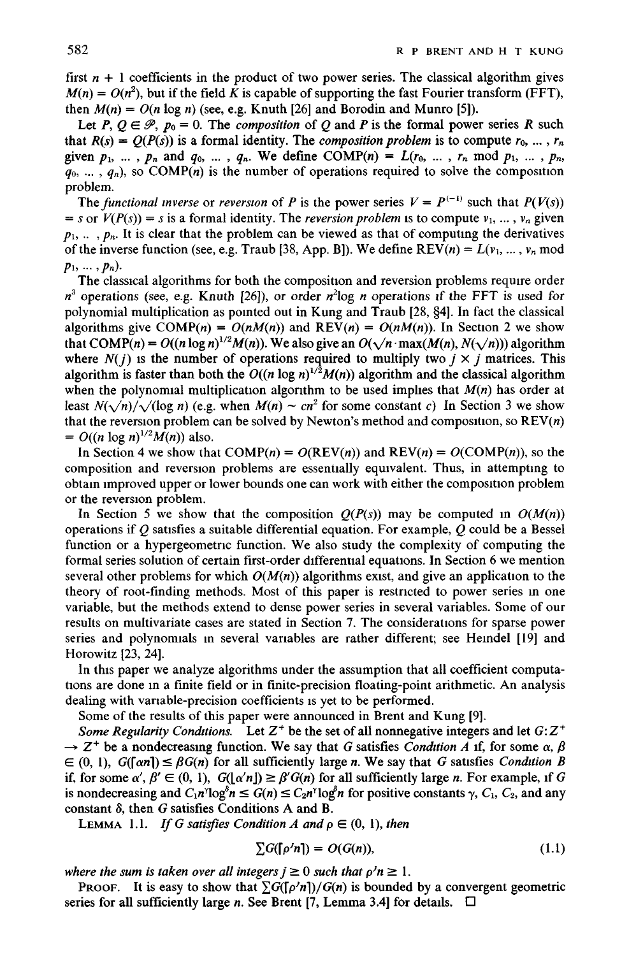first  $n + 1$  coefficients in the product of two power series. The classical algorithm gives  $M(n) = O(n^2)$ , but if the field K is capable of supporting the fast Fourier transform (FFT), then  $M(n) = O(n \log n)$  (see, e.g. Knuth [26] and Borodin and Munro [5]).

Let P,  $Q \in \mathcal{P}$ ,  $p_0 = 0$ . The *composition* of Q and P is the formal power series R such that  $R(s) = O(P(s))$  is a formal identity. The *composition problem* is to compute  $r_0, \ldots, r_n$ given  $p_1$ , ...,  $p_n$  and  $q_0$ , ...,  $q_n$ . We define COMP(n) =  $L(r_0, ..., r_n \mod p_1, ..., p_n)$  $q_0, \ldots, q_n$ , so COMP(n) is the number of operations required to solve the composition problem.

The *functional inverse* or *reversion* of *P* is the power series  $V = P^{(-1)}$  such that  $P(V(s))$  $= s$  or  $V(P(s)) = s$  is a formal identity. The *reversion problem* is to compute  $v_1, \ldots, v_n$  given  $p_1, \ldots, p_n$ . It is clear that the problem can be viewed as that of computing the derivatives of the inverse function (see, e.g. Traub [38, App. B]). We define  $REV(n) = L(v_1, ..., v_n \text{ mod } n)$  $p_1, \ldots, p_n$ ).

The classical algorithms for both the composition and reversion problems require order  $n^3$  operations (see, e.g. Knuth [26]), or order  $n^2\log n$  operations if the FFT is used for polynomial multiplication as pointed out in Kung and Traub [28, §4]. In fact the classical algorithms give  $COMP(n) = O(nM(n))$  and  $REV(n) = O(nM(n))$ . In Section 2 we show that  $COMP(n) = O((n \log n)^{1/2}M(n))$ . We also give an  $O(\sqrt{n} \cdot \max(M(n), N(\sqrt{n})))$  algorithm where  $N(j)$  is the number of operations required to multiply two  $j \times j$  matrices. This algorithm is faster than both the  $O((n \log n)^{1/2}M(n))$  algorithm and the classical algorithm when the polynomial multiplication algorithm to be used implies that  $M(n)$  has order at least  $N(\sqrt{n})/\sqrt{\log n}$  (e.g. when  $M(n) \sim cn^2$  for some constant c) In Section 3 we show that the reversion problem can be solved by Newton's method and composition, so  $REV(n)$  $= O((n \log n)^{1/2} M(n))$  also.

In Section 4 we show that  $COMP(n) = O(REV(n))$  and  $REV(n) = O(COMP(n))$ , so the composition and reversion problems are essentially equivalent. Thus, in attempting to obtain improved upper or lower bounds one can work with either the composition problem or the reversion problem.

In Section 5 we show that the composition  $Q(P(s))$  may be computed in  $O(M(n))$ operations if  $Q$  satisfies a suitable differential equation. For example,  $Q$  could be a Bessel function or a hypergeometnc function. We also study the complexity of computing the formal series solution of certain first-order differential equations. In Section 6 we mention several other problems for which  $O(M(n))$  algorithms exist, and give an application to the theory of root-finding methods. Most of this paper is restricted to power series m one variable, but the methods extend to dense power series in several variables. Some of our results on multivariate cases are stated in Section 7. The considerations for sparse power series and polynomials m several variables are rather different; see Hemdel [19] and Horowitz [23, 24].

In this paper we analyze algorithms under the assumption that all coefficient computations are done m a finite field or in finite-precision floating-point arithmetic. An analysis dealing with variable-precision coefficients is yet to be performed.

Some of the results of this paper were announced in Brent and Kung [9].

*Some Regularity Conditions.* Let  $Z^+$  be the set of all nonnegative integers and let  $G:Z^+$  $\rightarrow$  Z<sup>+</sup> be a nondecreasing function. We say that G satisfies *Condition A* if, for some  $\alpha$ ,  $\beta$  $\mathcal{L}(0, 1)$ ,  $G([\alpha n]) \leq \beta G(n)$  for all sufficiently large *n*. We say that G satisfies *Condition B* if, for some  $\alpha'$ ,  $\beta' \in (0, 1)$ ,  $G(\lfloor \alpha' n \rfloor) \geq \beta' G(n)$  for all sufficiently large n. For example, if G is nondecreasing and  $C_1n^{\gamma}\log^{\delta} n \leq G(n) \leq C_2n^{\gamma}\log^{\delta} n$  for positive constants  $\gamma$ ,  $C_1$ ,  $C_2$ , and any constant  $\delta$ , then G satisfies Conditions A and B.

LEMMA 1.1. *If G satisfies Condition A and*  $\rho \in (0, 1)$ , *then* 

$$
\sum G(\lceil \rho' n \rceil) = O(G(n)),\tag{1.1}
$$

*where the sum is taken over all integers*  $j \ge 0$  *such that*  $\rho' n \ge 1$ *.* 

PROOF. It is easy to show that  $\sum G(\lceil \rho' n \rceil)/G(n)$  is bounded by a convergent geometric series for all sufficiently large n. See Brent [7, Lemma 3.4] for details.  $\Box$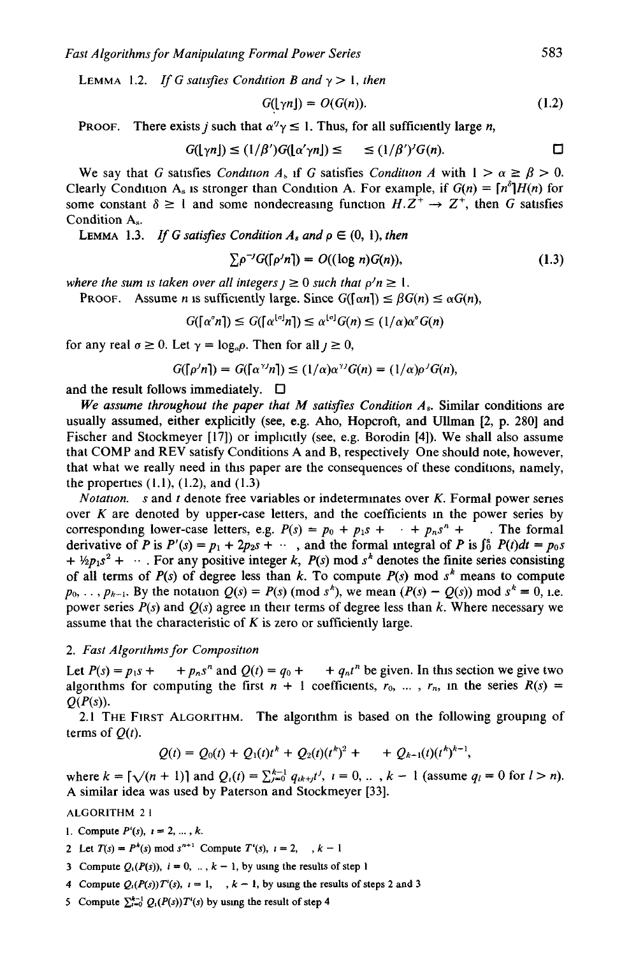LEMMA 1.2. *If G satisfies Condition B and*  $\gamma > 1$ *, then* 

$$
G(\lfloor \gamma n \rfloor) = O(G(n)). \tag{1.2}
$$

PROOF. There exists j such that  $\alpha''\gamma \leq 1$ . Thus, for all sufficiently large n,

$$
G(\lfloor \gamma n \rfloor) \leq (1/\beta')G(\lfloor \alpha' \gamma n \rfloor) \leq \leq (1/\beta')'G(n). \square
$$

We say that G satisfies *Condition A<sub>s</sub>* if G satisfies *Condition A* with  $1 > \alpha \ge \beta > 0$ . Clearly Condition A<sub>s</sub> is stronger than Condition A. For example, if  $G(n) = [n^{\delta}]H(n)$  for some constant  $\delta \ge 1$  and some nondecreasing function  $H.\overline{Z}^+ \rightarrow Z^+$ , then G satisfies Condition A<sub>s.</sub>

LEMMA 1.3. *If G satisfies Condition*  $A_s$  *and*  $\rho \in (0, 1)$ , *then* 

$$
\sum \rho^{-j} G(\lceil \rho^j n \rceil) = O((\log n)G(n)),\tag{1.3}
$$

*where the sum is taken over all integers*  $j \ge 0$  *such that*  $p'n \ge 1$ *.* 

PROOF. Assume *n* is sufficiently large. Since  $G(\lceil \alpha n \rceil) \leq \beta G(n) \leq \alpha G(n)$ ,

$$
G(\lceil \alpha^{\circ} n \rceil) \leq G(\lceil \alpha^{\lfloor \sigma \rfloor} n \rceil) \leq \alpha^{\lfloor \sigma \rfloor} G(n) \leq (1/\alpha) \alpha^{\circ} G(n)
$$

for any real  $\sigma \ge 0$ . Let  $\gamma = \log_{\alpha} \rho$ . Then for all  $j \ge 0$ ,

$$
G([\rho'n]) = G([\alpha^{\gamma}n]) \le (1/\alpha)\alpha^{\gamma}G(n) = (1/\alpha)\rho^{\gamma}G(n),
$$

and the result follows immediately.  $\square$ 

*We assume throughout the paper that M satisfies Condition As.* Similar conditions are usually assumed, either explicitly (see, e.g. Aho, Hopcroft, and Ullman [2, p. 280] and Fischer and Stockmeyer [17]) or implicitly (see, e.g. Borodin [4]). We shall also assume that COMP and REV satisfy Conditions A and B, respectively One should note, however, that what we really need in this paper are the consequences of these conditions, namely, the properties  $(1.1)$ ,  $(1.2)$ , and  $(1.3)$ 

*Notation. s* and *t* denote free variables or indeterminates over *K*. Formal power series over  $K$  are denoted by upper-case letters, and the coefficients in the power series by corresponding lower-case letters, e.g.  $P(s) = p_0 + p_1s + \cdots + p_ns^n + \cdots$ . The formal derivative of P is  $P'(s) = p_1 + 2p_2s + \cdots$ , and the formal integral of P is  $\int_0^s P(t)dt = p_0s$  $+ \frac{1}{2}p_1s^2 + \cdots$ . For any positive integer *k, P(s)* mod s<sup>k</sup> denotes the finite series consisting of all terms of  $P(s)$  of degree less than k. To compute  $P(s)$  mod  $s<sup>k</sup>$  means to compute  $p_0, \ldots, p_{k-1}$ . By the notation  $Q(s) = P(s)$  (mod  $s^k$ ), we mean  $(P(s) - Q(s))$  mod  $s^k = 0$ , i.e. power series  $P(s)$  and  $Q(s)$  agree in their terms of degree less than k. Where necessary we assume that the characteristic of  $K$  is zero or sufficiently large.

### *2. Fast Algortthms for Compositwn*

Let  $P(s) = p_1 s + p_n s^n$  and  $Q(t) = q_0 + q_n t^n$  be given. In this section we give two algorithms for computing the first  $n + 1$  coefficients,  $r_0, \ldots, r_n$ , in the series  $R(s)$  =  $O(P(s))$ .

2.1 THE FIRST ALGORITHM. The algorithm is based on the following grouping of terms of  $Q(t)$ .

$$
Q(t) = Q_0(t) + Q_1(t)t^k + Q_2(t)(t^k)^2 + \cdots + Q_{k-1}(t)(t^k)^{k-1},
$$

where  $k = [\sqrt{(n+1)}]$  and  $Q_i(t) = \sum_{k=0}^{k-1} q_{ik+j}t^j$ ,  $i = 0, ..., k-1$  (assume  $q_i = 0$  for  $l > n$ ). A similar idea was used by Paterson and Stockmeyer [33].

ALGORITHM 2 I

- 1. Compute  $P'(s)$ ,  $i = 2, ..., k$ .
- 2 Let  $T(s) = P^k(s) \text{ mod } s^{n+1}$  Compute  $T^i(s), i = 2, ..., k 1$
- 3 Compute  $Q_i(P(s))$ ,  $i = 0, ..., k 1$ , by using the results of step 1

4 Compute  $Q_i(P(s))T'(s)$ ,  $i = 1, \dots, k - 1$ , by using the results of steps 2 and 3

5 Compute  $\sum_{i=0}^{k-1} Q_i(P(s))T'(s)$  by using the result of step 4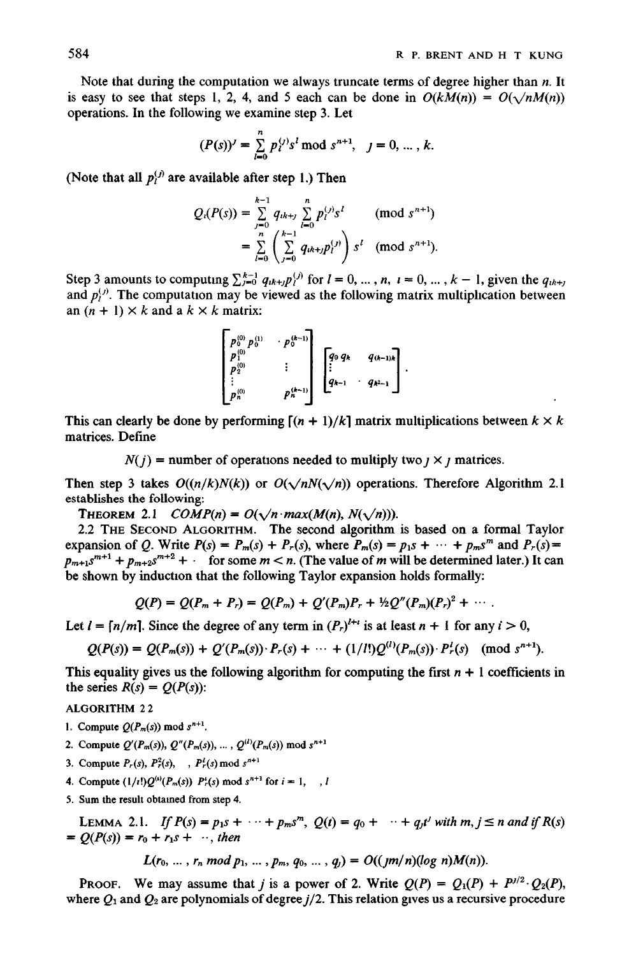Note that during the computation we always truncate terms of degree higher than  $n$ . It is easy to see that steps 1, 2, 4, and 5 each can be done in  $O(kM(n)) = O(\sqrt{nM(n)})$ operations. In the following we examine step 3. Let

$$
(P(s))' = \sum_{l=0}^{n} p_l^{(j)} s^l \bmod s^{n+1}, \quad j = 0, \dots, k.
$$

(Note that all  $p_j^{(j)}$  are available after step 1.) Then

$$
Q_i(P(s)) = \sum_{j=0}^{k-1} q_{ik+j} \sum_{l=0}^n p_l^{(j)} s^l \pmod{s^{n+1}}
$$
  
= 
$$
\sum_{l=0}^n \left( \sum_{j=0}^{k-1} q_{ik+j} p_l^{(j)} \right) s^l \pmod{s^{n+1}}.
$$

Step 3 amounts to computing  $\sum_{i=0}^{k-1} q_{ik+j} p_i^{(j)}$  for  $l = 0, ..., n$ ,  $i = 0, ..., k-1$ , given the  $q_{ik+j}$ and  $p_j^{(j)}$ . The computation may be viewed as the following matrix multiplication between an  $(n + 1) \times k$  and a  $k \times k$  matrix:

$$
\begin{bmatrix} p_0^{(0)} p_0^{(1)} & \cdot p_0^{(k-1)} \\ p_1^{(0)} & \vdots \\ p_2^{(0)} & \vdots \\ p_n^{(0)} & \vdots \end{bmatrix} \begin{bmatrix} q_0 q_k & q_{(k-1)k} \\ \vdots & \vdots \\ q_{k-1} & q_{k-1} \end{bmatrix}.
$$

This can clearly be done by performing  $[(n + 1)/k]$  matrix multiplications between  $k \times k$ matrices. Define

 $N(j)$  = number of operations needed to multiply two  $j \times j$  matrices.

Then step 3 takes  $O((n/k)N(k))$  or  $O(\sqrt{nN(\sqrt{n}))}$  operations. Therefore Algorithm 2.1 establishes the following:

THEOREM 2.1 *COMP(n)* =  $O(\sqrt{n} \cdot max(M(n), N(\sqrt{n}))).$ 

2.2 THE SECOND ALGORITHM. The second algorithm is based on a formal Taylor expansion of Q. Write  $P(s) = P_m(s) + P_r(s)$ , where  $P_m(s) = p_1 s + \cdots + p_m s^m$  and  $P_r(s) = p_1 s + \cdots + p_m s^m$  $p_{m+1} s^{m+1} + p_{m+2} s^{m+2}$  + for some  $m < n$ . (The value of m will be determined later.) It can be shown by induction that the following Taylor expansion holds formally:

$$
Q(P) = Q(P_m + P_r) = Q(P_m) + Q'(P_m)P_r + \frac{1}{2}Q''(P_m)(P_r)^2 + \cdots
$$

Let  $l = \lfloor n/m \rfloor$ . Since the degree of any term in  $(P_r)^{l+t}$  is at least  $n + 1$  for any  $i > 0$ ,

$$
Q(P(s)) = Q(P_m(s)) + Q'(P_m(s)) \cdot P_r(s) + \cdots + (1/l!)Q^{(l)}(P_m(s)) \cdot P_r^{l}(s) \pmod{s^{n+1}}.
$$

This equality gives us the following algorithm for computing the first  $n + 1$  coefficients in the series  $R(s) = Q(P(s))$ :

ALGORITHM 2 2

- 1. Compute  $Q(P_m(s))$  mod  $s^{n+1}$ .
- 2. Compute  $Q'(P_m(s)), Q''(P_m(s)), ..., Q^{(l)}(P_m(s)) \text{ mod } s^{n+1}$
- 3. Compute  $P_r(s)$ ,  $P^2_r(s)$ , ,  $P^l_r(s)$  mod  $s^{n+1}$
- 4. Compute  $(1/t!)Q^{(i)}(P_m(s))$   $P_r^i(s)$  mod  $s^{n+1}$  for  $i = 1, \dots, l$
- 5. Sum the result obtained from step 4.

LEMMA 2.1. *If*  $P(s) = p_1 s + \cdots + p_m s^m$ ,  $Q(t) = q_0 + \cdots + q_j t^j$  with  $m, j \le n$  and if  $R(s)$  $= Q(P(s)) = r_0 + r_1 s + \cdots$ , then

 $L(r_0, ..., r_n \mod p_1, ..., p_m, q_0, ..., q_l) = O((jm/n)(\log n)M(n)).$ 

PROOF. We may assume that *j* is a power of 2. Write  $Q(P) = Q_1(P) + P^{1/2} \cdot Q_2(P)$ , where  $Q_1$  and  $Q_2$  are polynomials of degree  $j/2$ . This relation gives us a recursive procedure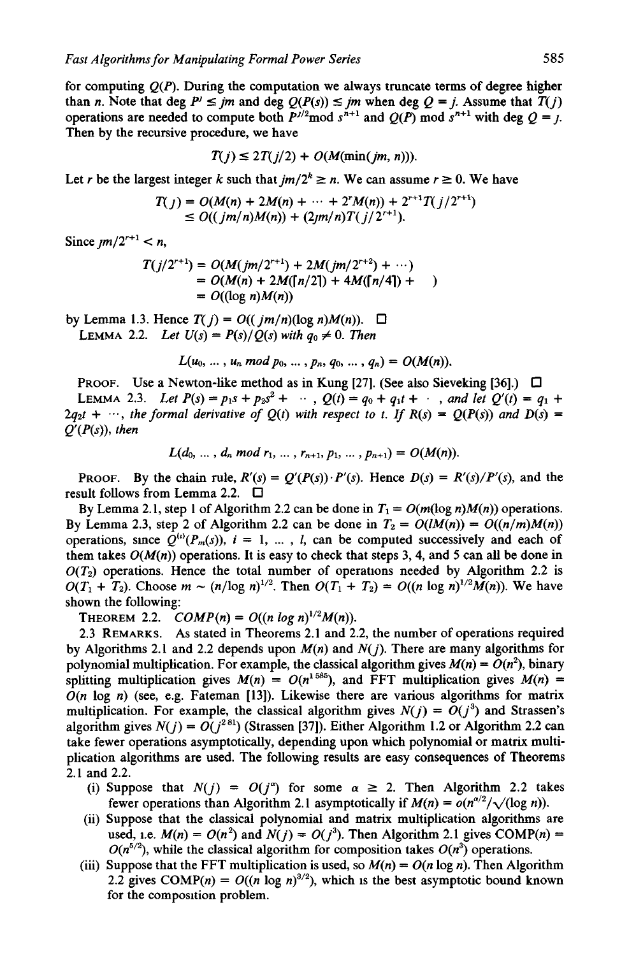for computing  $O(P)$ . During the computation we always truncate terms of degree higher than *n*. Note that deg  $P' \leq jm$  and deg  $Q(P(s)) \leq jm$  when deg  $Q = j$ . Assume that  $T(j)$ operations are needed to compute both  $P^{j/2}$  mod  $s^{n+1}$  and  $Q(P)$  mod  $s^{n+1}$  with deg  $Q = j$ . Then by the recursive procedure, we have

$$
T(j) \leq 2T(j/2) + O(M(\min(jm, n))).
$$

Let r be the largest integer k such that  $jm/2^k \ge n$ . We can assume  $r \ge 0$ . We have

$$
T(j) = O(M(n) + 2M(n) + \dots + 2^r M(n)) + 2^{r+1} T(j/2^{r+1})
$$
  
\n
$$
\leq O((jm/n)M(n)) + (2jm/n)T(j/2^{r+1}).
$$

*Since*  $\mu m/2^{r+1} < n$ ,

$$
T(j/2^{r+1}) = O(M(jm/2^{r+1}) + 2M(jm/2^{r+2}) + \cdots)
$$
  
= O(M(n) + 2M([n/2]) + 4M([n/4]) +  
= O((\log n)M(n))

by Lemma 1.3. Hence  $T(j) = O((jm/n)(\log n)M(n))$ .  $\Box$ LEMMA 2.2. *Let*  $U(s) = P(s)/Q(s)$  with  $q_0 \neq 0$ . Then

$$
L(u_0, ..., u_n \bmod p_0, ..., p_n, q_0, ..., q_n) = O(M(n)).
$$

**PROOF.** Use a Newton-like method as in Kung [27]. (See also Sieveking [36].)  $\Box$ LEMMA 2.3. *Let*  $P(s) = p_1s + p_2s^2 + \cdots$ ,  $Q(t) = q_0 + q_1t + \cdots$ , and let  $Q'(t) = q_1 +$  $2q_2t + \cdots$ , the formal derivative of  $Q(t)$  with respect to t. If  $R(s) = Q(P(s))$  and  $D(s) =$ *Q'(P(s)), then* 

$$
L(d_0, ..., d_n \text{ mod } r_1, ..., r_{n+1}, p_1, ..., p_{n+1}) = O(M(n)).
$$

PROOF. By the chain rule,  $R'(s) = Q'(P(s)) \cdot P'(s)$ . Hence  $D(s) = R'(s)/P'(s)$ , and the result follows from Lemma 2.2. □

By Lemma 2.1, step 1 of Algorithm 2.2 can be done in  $T_1 = O(m(\log n)M(n))$  operations. By Lemma 2.3, step 2 of Algorithm 2.2 can be done in  $T_2 = O(lM(n)) = O((n/m)M(n))$ operations, since  $Q^{(i)}(P_m(s))$ ,  $i = 1, ..., l$ , can be computed successively and each of them takes  $O(M(n))$  operations. It is easy to check that steps 3, 4, and 5 can all be done in  $O(T_2)$  operations. Hence the total number of operations needed by Algorithm 2.2 is  $O(T_1 + T_2)$ . Choose  $m \sim (n/\log n)^{1/2}$ . Then  $O(T_1 + T_2) = O((n \log n)^{1/2}M(n))$ . We have shown the following:

**THEOREM 2.2.**  $COMP(n) = O((n \log n)^{1/2}M(n)).$ 

2.3 REMARKS. As stated in Theorems 2.1 and 2.2, the number of operations required by Algorithms 2.1 and 2.2 depends upon  $M(n)$  and  $N(j)$ . There are many algorithms for polynomial multiplication. For example, the classical algorithm gives  $M(n) = O(n^2)$ , binary splitting multiplication gives  $M(n) = O(n^{1.585})$ , and FFT multiplication gives  $M(n)$  =  $O(n \log n)$  (see, e.g. Fateman [13]). Likewise there are various algorithms for matrix multiplication. For example, the classical algorithm gives  $N(j) = O(j^3)$  and Strassen's algorithm gives  $N(j) = O(j^{281})$  (Strassen [37]). Either Algorithm 1.2 or Algorithm 2.2 can take fewer operations asymptotically, depending upon which polynomial or matrix multiplication algorithms are used. The following results are easy consequences of Theorems 2.1 and 2.2.

- (i) Suppose that  $N(j) = O(j^{\alpha})$  for some  $\alpha \ge 2$ . Then Algorithm 2.2 takes fewer operations than Algorithm 2.1 asymptotically if  $M(n) = o(n^{\alpha/2}/\sqrt{\log n})$ .
- (ii) Suppose that the classical polynomial and matrix multiplication algorithms are used, i.e.  $M(n) = O(n^2)$  and  $N(j) = O(j^3)$ . Then Algorithm 2.1 gives COMP(n) =  $O(n^{5/2})$ , while the classical algorithm for composition takes  $O(n^3)$  operations.
- (iii) Suppose that the FFT multiplication is used, so  $M(n) = O(n \log n)$ . Then Algorithm 2.2 gives COMP(n) =  $O((n \log n)^{3/2})$ , which is the best asymptotic bound known for the composition problem.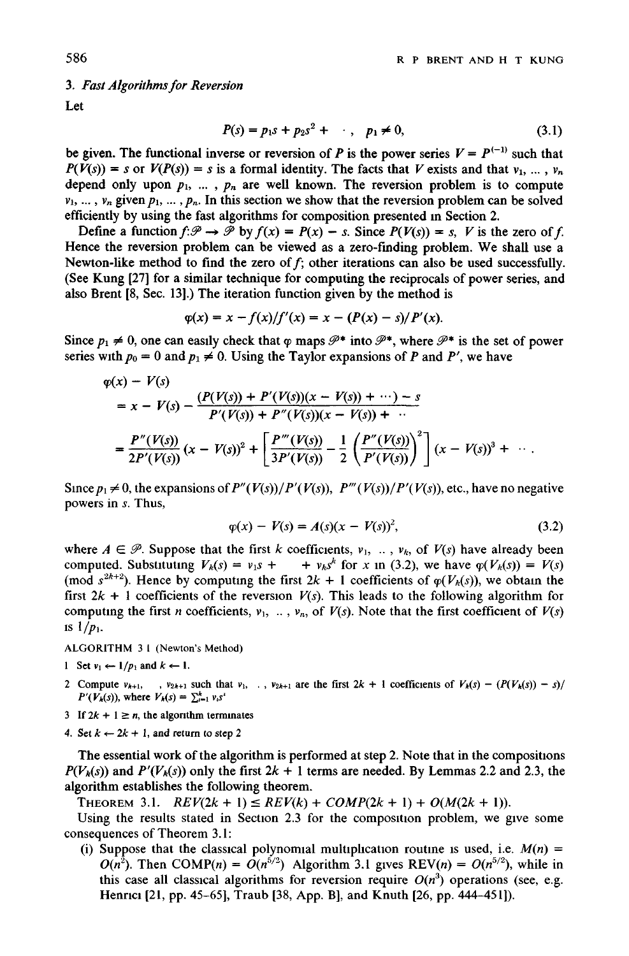*3. Fast Algorithms for \_Reversion* 

Let

$$
P(s) = p_1 s + p_2 s^2 + \cdots, \quad p_1 \neq 0,
$$
 (3.1)

be given. The functional inverse or reversion of P is the power series  $V = P^{(-1)}$  such that  $P(V(s)) = s$  or  $V(P(s)) = s$  is a formal identity. The facts that V exists and that  $v_1, \ldots, v_n$ depend only upon  $p_1$ , ...,  $p_n$  are well known. The reversion problem is to compute  $v_1, ..., v_n$  given  $p_1, ..., p_n$ . In this section we show that the reversion problem can be solved efficiently by using the fast algorithms for composition presented in Section 2.

Define a function  $f:\mathcal{P} \to \mathcal{P}$  by  $f(x) = P(x) - s$ . Since  $P(V(s)) = s$ , V is the zero of f. Hence the reversion problem can be viewed as a zero-finding problem. We shall use a Newton-like method to find the zero of  $f$ ; other iterations can also be used successfully. (See Kung [27] for a similar technique for computing the reciprocals of power series, and also Brent [8, Sec. 13].) The iteration function given by the method is

$$
\varphi(x) = x - f(x)/f'(x) = x - (P(x) - s)/P'(x).
$$

Since  $p_1 \neq 0$ , one can easily check that  $\varphi$  maps  $\mathscr{P}^*$  into  $\mathscr{P}^*$ , where  $\mathscr{P}^*$  is the set of power series with  $p_0 = 0$  and  $p_1 \neq 0$ . Using the Taylor expansions of P and P', we have

$$
\varphi(x) - V(s)
$$
  
=  $x - V(s) - \frac{(P(V(s)) + P'(V(s))(x - V(s)) + \cdots) - s}{P'(V(s)) + P''(V(s))(x - V(s)) + \cdots}$   
=  $\frac{P''(V(s))}{2P'(V(s))} (x - V(s))^2 + \left[ \frac{P'''(V(s))}{3P'(V(s))} - \frac{1}{2} \left( \frac{P''(V(s))}{P'(V(s))} \right)^2 \right] (x - V(s))^3 + \cdots$ 

Since  $p_1 \neq 0$ , the expansions of  $P''(V(s))/P'(V(s))$ ,  $P'''(V(s))/P'(V(s))$ , etc., have no negative powers in s. Thus,

$$
\varphi(x) - V(s) = A(s)(x - V(s))^2, \tag{3.2}
$$

where  $A \in \mathcal{P}$ . Suppose that the first k coefficients,  $v_1, ..., v_k$ , of  $V(s)$  have already been computed. Substituting  $V_k(s) = v_1 s + \cdots + v_k s^k$  for x in (3.2), we have  $\varphi(V_k(s)) = V(s)$ (mod  $s^{2k+2}$ ). Hence by computing the first  $2k + 1$  coefficients of  $\varphi(V_k(s))$ , we obtain the first  $2k + 1$  coefficients of the reversion  $V(s)$ . This leads to the following algorithm for computing the first *n* coefficients,  $v_1$ , ...,  $v_n$ , of  $V(s)$ . Note that the first coefficient of  $V(s)$ is  $1/p_1$ .

ALGORITHM 3 I (Newton's Method)

- 1 Set  $v_1 \leftarrow 1/p_1$  and  $k \leftarrow 1$ .
- 2 Compute  $v_{k+1}$ , ,  $v_{2k+1}$  such that  $v_1$ , .,  $v_{2k+1}$  are the first  $2k + 1$  coefficients of  $V_k(s) (P(V_k(s)) s)/$ *P'(V<sub>k</sub>(s)), where*  $V_k(s) = \sum_{i=1}^k v_i s^i$
- 3 If  $2k + 1 \ge n$ , the algorithm terminates
- 4. Set  $k \leftarrow 2k + 1$ , and return to step 2

The essential work of the algorithm is performed at step 2. Note that in the composiuons  $P(V_k(s))$  and  $P'(V_k(s))$  only the first  $2k + 1$  terms are needed. By Lemmas 2.2 and 2.3, the algorithm establishes the following theorem.

THEOREM 3.1.  $REV(2k + 1) \leq REV(k) + COMP(2k + 1) + O(M(2k + 1)).$ 

Using the results stated in Section  $2.3$  for the composition problem, we give some consequences of Theorem 3.1:

(i) Suppose that the classical polynomial multiplication routine is used, i.e.  $M(n)$  =  $O(n^2)$ . Then COMP(n) =  $O(n^{5/2})$  Algorithm 3.1 gives REV(n) =  $O(n^{5/2})$ , while in this case all classical algorithms for reversion require  $O(n^3)$  operations (see, e.g. Henrici [21, pp. 45-65], Traub [38, App. B], and Knuth [26, pp. 444-451]).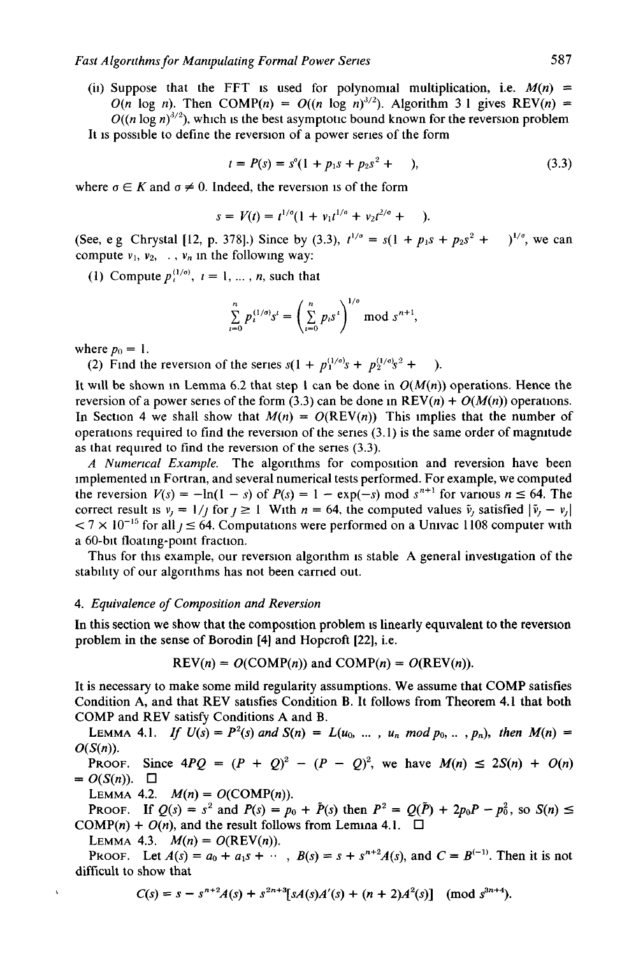(ii) Suppose that the FFT is used for polynomial multiplication, i.e.  $M(n)$  =  $O(n \log n)$ . Then COMP(n) =  $O((n \log n)^{3/2})$ . Algorithm 3 1 gives REV(n) =  $O((n \log n)^{3/2})$ , which is the best asymptotic bound known for the reversion problem It is possible to define the reversion of a power series of the form

 $t = P(s) = s^{\circ}(1 + p_1s + p_2s^2 + )$ , (3.3)

where  $\sigma \in K$  and  $\sigma \neq 0$ . Indeed, the reversion is of the form

$$
s = V(t) = t^{1/\sigma} (1 + v_1 t^{1/\sigma} + v_2 t^{2/\sigma} + \dots).
$$

(See, e g Chrystal [12, p. 378].) Since by (3.3),  $t^{1/\sigma} = s(1 + p_1s + p_2s^2 + )^{1/\sigma}$ , we can compute  $v_1$ ,  $v_2$ , .,  $v_n$  in the following way:

(1) Compute  $p_i^{(1/e)}$ ,  $i = 1, ..., n$ , such that

$$
\sum_{i=0}^{n} p_i^{(1/\sigma)} s^i = \left(\sum_{i=0}^{n} p_i s^i\right)^{1/\sigma} \text{ mod } s^{n+1},
$$

where  $p_0 = 1$ .

(2) Find the reversion of the series  $s(1 + p_1^{(1/\sigma)}s + p_2^{(1/\sigma)}s^2 + )$ .

It will be shown in Lemma 6.2 that step 1 can be done in  $O(M(n))$  operations. Hence the reversion of a power series of the form (3.3) can be done in  $REV(n) + O(M(n))$  operations. In Section 4 we shall show that  $M(n) = O(REV(n))$  This implies that the number of operations required to find the reversion of the series  $(3.1)$  is the same order of magnitude as that required to find the reversion of the series (3.3).

*A Numerical Example.* The algorithms for composition and reversion have been implemented in Fortran, and several numerical tests performed. For example, we computed the reversion  $V(s) = -\ln(1 - s)$  of  $P(s) = 1 - \exp(-s) \mod s^{n+1}$  for various  $n \le 64$ . The correct result is  $v_i = 1/j$  for  $j \ge 1$  With  $n = 64$ , the computed values  $\tilde{v}_i$  satisfied  $|\tilde{v}_i - v_i|$  $< 7 \times 10^{-15}$  for all  $\gamma \le 64$ . Computations were performed on a Univac 1108 computer with a 60-bit floating-point fraction.

Thus for this example, our reversion algorithm is stable A general investigation of the stability of our algorithms has not been carried out.

## *4. Equivalence of Composition and Reversion*

In this section we show that the composition problem is linearly equivalent to the reversion problem in the sense of Borodin [4] and Hopcroft [22], i.e.

$$
REV(n) = O(COMP(n))
$$
 and  $COMP(n) = O(REV(n)).$ 

It is necessary to make some mild regularity assumptions. We assume that COMP satisfies Condition A, and that REV satisfies Condition B. It follows from Theorem 4.1 that both COMP and REV satisfy Conditions A and B.

LEMMA 4.1. *If*  $U(s) = P^2(s)$  and  $S(n) = L(u_0, ..., u_n \mod p_0, ..., p_n)$ , then  $M(n) =$ *O(S(n)).* 

PROOF. Since  $4PQ = (P + Q)^2 - (P - Q)^2$ , we have  $M(n) \le 2S(n) + O(n)$  $= O(S(n))$ .  $\Box$ 

LEMMA 4.2.  $M(n) = O(\text{COMP}(n)).$ 

**PROOF.** If  $Q(s) = s^2$  and  $P(s) = p_0 + \tilde{P}(s)$  then  $P^2 = Q(\tilde{P}) + 2p_0P - p_0^2$ , so  $S(n) \le$  $COMP(n) + O(n)$ , and the result follows from Lemma 4.1.  $\square$ 

LEMMA 4.3.  $M(n) = O(REV(n)).$ 

PROOF. Let  $A(s) = a_0 + a_1 s + \cdots$ ,  $B(s) = s + s^{n+2} A(s)$ , and  $C = B^{(-1)}$ . Then it is not difficult to show that

$$
C(s) = s - s^{n+2}A(s) + s^{2n+3}[sA(s)A'(s) + (n+2)A^2(s)] \pmod{s^{3n+4}}.
$$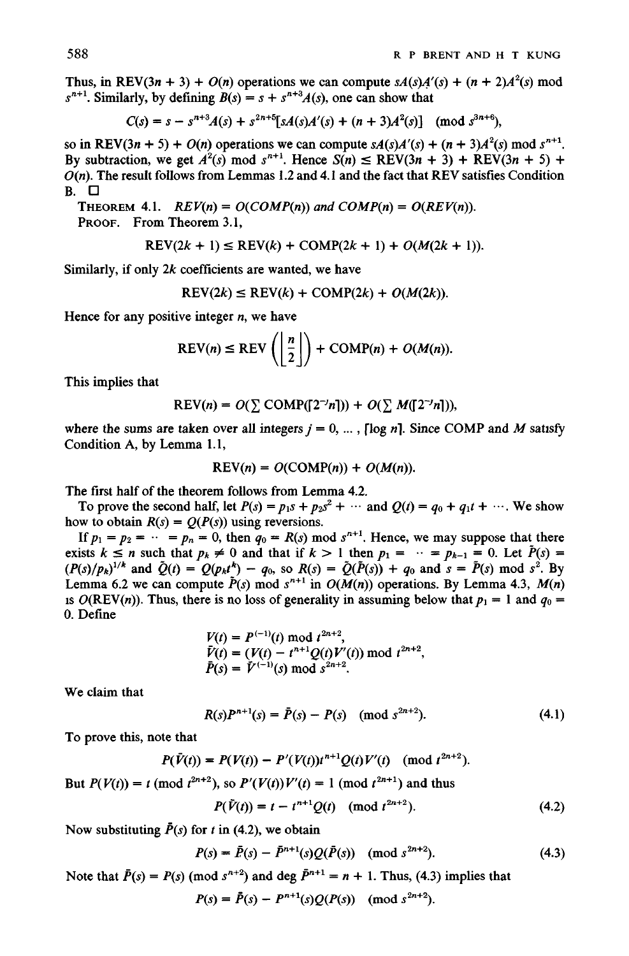Thus, in REV(3*n* + 3) +  $O(n)$  operations we can compute  $sA(s)A'(s) + (n + 2)A^{2}(s)$  mod  $s^{n+1}$ . Similarly, by defining  $B(s) = s + s^{n+3}A(s)$ , one can show that

$$
C(s) = s - s^{n+3}A(s) + s^{2n+5}[sA(s)A'(s) + (n+3)A^2(s)] \pmod{s^{3n+6}},
$$

so in REV(3*n* + 5) +  $O(n)$  operations we can compute  $sA(s)A'(s) + (n + 3)A^{2}(s)$  mod  $s^{n+1}$ . By subtraction, we get  $A^2(s)$  mod  $s^{n+1}$ . Hence  $S(n) \leq REV(3n + 3) + REV(3n + 5) +$  $O(n)$ . The result follows from Lemmas 1.2 and 4.1 and the fact that REV satisfies Condition **B. []** 

THEOREM 4.1.  $REV(n) = O(COMP(n))$  and  $COMP(n) = O(REV(n))$ . PROOF. From Theorem 3.1,

$$
REV(2k + 1) \le REV(k) + COMP(2k + 1) + O(M(2k + 1)).
$$

Similarly, if only  $2k$  coefficients are wanted, we have

$$
REV(2k) \leq REV(k) + COMP(2k) + O(M(2k)).
$$

Hence for any positive integer  $n$ , we have

$$
REV(n) \leq REV\left(\left\lfloor \frac{n}{2} \right\rfloor\right) + COMP(n) + O(M(n)).
$$

This implies that

$$
REV(n) = O(\sum COMP([2^{-j}n])) + O(\sum M([2^{-j}n])),
$$

where the sums are taken over all integers  $j = 0, \dots$ , [log n]. Since COMP and M satisfy Condition A, by Lemma 1.1,

$$
REV(n) = O(COMP(n)) + O(M(n)).
$$

The first half of the theorem follows from Lemma 4.2.

To prove the second half, let  $P(s) = p_1s + p_2s^2 + \cdots$  and  $Q(t) = q_0 + q_1t + \cdots$ . We show how to obtain  $R(s) = Q(P(s))$  using reversions.

If  $p_1 = p_2 = \cdots = p_n = 0$ , then  $q_0 = R(s) \mod s^{n+1}$ . Hence, we may suppose that there exists  $k \le n$  such that  $p_k \ne 0$  and that if  $k > 1$  then  $p_1 = \cdots = p_{k-1} = 0$ . Let  $P(s) = \cdots$  $(P(s)/p_k)^{1/2}$  and  $Q(t) = Q(p_k t^n) - q_0$ , so  $R(s) = Q(P(s)) + q_0$  and  $s = P(s) \mod s^2$ . By Lemma 6.2 we can compute  $P(s)$  mod  $s^{n+1}$  in  $O(M(n))$  operations. By Lemma 4.3,  $M(n)$ is  $O(REV(n))$ . Thus, there is no loss of generality in assuming below that  $p_1 = 1$  and  $q_0 =$ 0. Define

$$
V(t) = P^{(-1)}(t) \bmod t^{2n+2},
$$
  
\n
$$
\bar{V}(t) = (V(t) - t^{n+1}Q(t)V'(t)) \bmod t^{2n+2},
$$
  
\n
$$
\bar{P}(s) = \bar{V}^{(-1)}(s) \bmod s^{2n+2}.
$$

We claim that

$$
R(s)P^{n+1}(s) = \bar{P}(s) - P(s) \pmod{s^{2n+2}}.
$$
\n(4.1)

To prove this, note that

$$
P(\bar{V}(t)) = P(V(t)) - P'(V(t))t^{n+1}Q(t)V'(t) \pmod{t^{2n+2}}.
$$
  
But  $P(V(t)) = t \pmod{t^{2n+2}}$ , so  $P'(V(t))V'(t) = 1 \pmod{t^{2n+1}}$  and thus

$$
P(\bar{V}(t)) = t - t^{n+1}Q(t) \pmod{t^{2n+2}}.
$$
 (4.2)

Now substituting  $\bar{P}(s)$  for t in (4.2), we obtain

$$
P(s) = \bar{P}(s) - \bar{P}^{n+1}(s)Q(\bar{P}(s)) \pmod{s^{2n+2}}.
$$
 (4.3)

Note that  $\bar{P}(s) = P(s)$  (mod  $s^{n+2}$ ) and deg  $\bar{P}^{n+1} = n + 1$ . Thus, (4.3) implies that

$$
P(s) = \bar{P}(s) - P^{n+1}(s)Q(P(s)) \pmod{s^{2n+2}}.
$$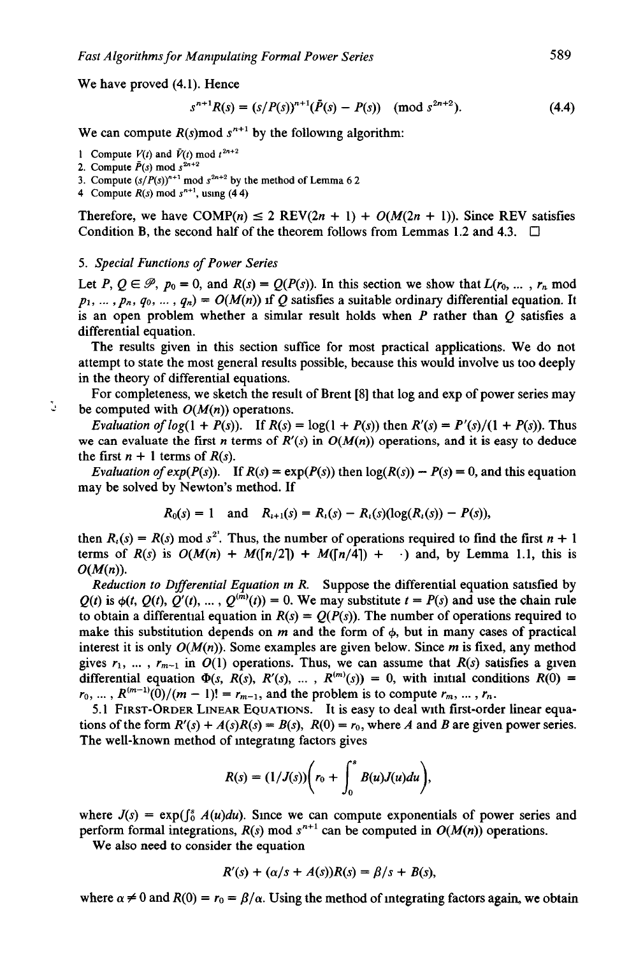We have proved (4.1). Hence

$$
s^{n+1}R(s) = (s/P(s))^{n+1}(\bar{P}(s) - P(s)) \pmod{s^{2n+2}}.
$$
 (4.4)

We can compute  $R(s)$  mod  $s^{n+1}$  by the following algorithm:

- 1 Compute  $V(t)$  and  $\bar{V}(t)$  mod  $t^{2n+2}$
- 2. Compute  $\bar{P}(s)$  mod  $s^{2n+2}$
- 3. Compute  $(s/P(s))^{n+1}$  mod  $s^{2n+2}$  by the method of Lemma 6 2
- 4 Compute  $R(s)$  mod  $s^{n+1}$ , using (44)

Therefore, we have  $COMP(n) \leq 2$  REV(2n + 1) +  $O(M(2n + 1))$ . Since REV satisfies Condition B, the second half of the theorem follows from Lemmas 1.2 and 4.3.  $\Box$ 

#### *5. Special Functions of Power Series*

Let P,  $Q \in \mathcal{P}$ ,  $p_0 = 0$ , and  $R(s) = Q(P(s))$ . In this section we show that  $L(r_0, \ldots, r_n \text{ mod } 1)$  $p_1, \ldots, p_n, q_0, \ldots, q_n) = O(M(n))$  if Q satisfies a suitable ordinary differential equation. It is an open problem whether a similar result holds when  $P$  rather than  $Q$  satisfies a differential equation.

The results given in this section suffice for most practical applications. We do not attempt to state the most general results possible, because this would involve us too deeply in the theory of differential equations.

For completeness, we sketch the result of Brent [8] that log and exp of power series may be computed with  $O(M(n))$  operations.

*Evaluation of log(1 + P(s)).* If  $R(s) = \log(1 + P(s))$  then  $R'(s) = P'(s)/(1 + P(s))$ . Thus we can evaluate the first *n* terms of  $R'(s)$  in  $O(M(n))$  operations, and it is easy to deduce the first  $n + 1$  terms of  $R(s)$ .

*Evaluation of*  $exp(P(s))$ *.* If  $R(s) = exp(P(s))$  then  $log(R(s)) - P(s) = 0$ , and this equation may be solved by Newton's method. If

$$
R_0(s) = 1
$$
 and  $R_{i+1}(s) = R_i(s) - R_i(s)(\log(R_i(s)) - P(s)),$ 

then  $R_i(s) = R(s) \text{ mod } s^2$ . Thus, the number of operations required to find the first  $n + 1$ terms of  $R(s)$  is  $O(M(n) + M([n/2]) + M([n/4]) + \cdots$  and, by Lemma 1.1, this is *O(M(n)).* 

*Reduction to Dtfferential Equation m R.* Suppose the differential equation satisfied by  $Q(t)$  is  $\phi(t, Q(t), Q'(t), \ldots, Q^{(m)}(t)) = 0$ . We may substitute  $t = P(s)$  and use the chain rule to obtain a differential equation in  $R(s) = Q(P(s))$ . The number of operations required to make this substitution depends on m and the form of  $\phi$ , but in many cases of practical interest it is only  $O(M(n))$ . Some examples are given below. Since m is fixed, any method gives  $r_1, \ldots, r_{m-1}$  in  $O(1)$  operations. Thus, we can assume that  $R(s)$  satisfies a given differential equation  $\Phi(s, R(s), R'(s), \ldots, R^{(m)}(s)) = 0$ , with initial conditions  $R(0)$  =  $r_0, ..., R^{(m-1)}(0)/(m-1)! = r_{m-1}$ , and the problem is to compute  $r_m, ..., r_n$ .

5.1 FIRST-ORDER LINEAR EQUATIONS. It is easy to deal with first-order linear equations of the form  $R'(s) + A(s)R(s) = B(s)$ ,  $R(0) = r_0$ , where A and B are given power series. The well-known method of mtegratmg factors gives

$$
R(s)=(1/J(s))\bigg(r_0+\int_0^s B(u)J(u)du\bigg),
$$

where  $J(s) = \exp(\int_0^s A(u) du)$ . Since we can compute exponentials of power series and perform formal integrations,  $R(s)$  mod  $s^{n+1}$  can be computed in  $O(M(n))$  operations.

We also need to consider the equation

$$
R'(s) + (\alpha/s + A(s))R(s) = \beta/s + B(s),
$$

where  $\alpha \neq 0$  and  $R(0) = r_0 = \beta/\alpha$ . Using the method of integrating factors again, we obtain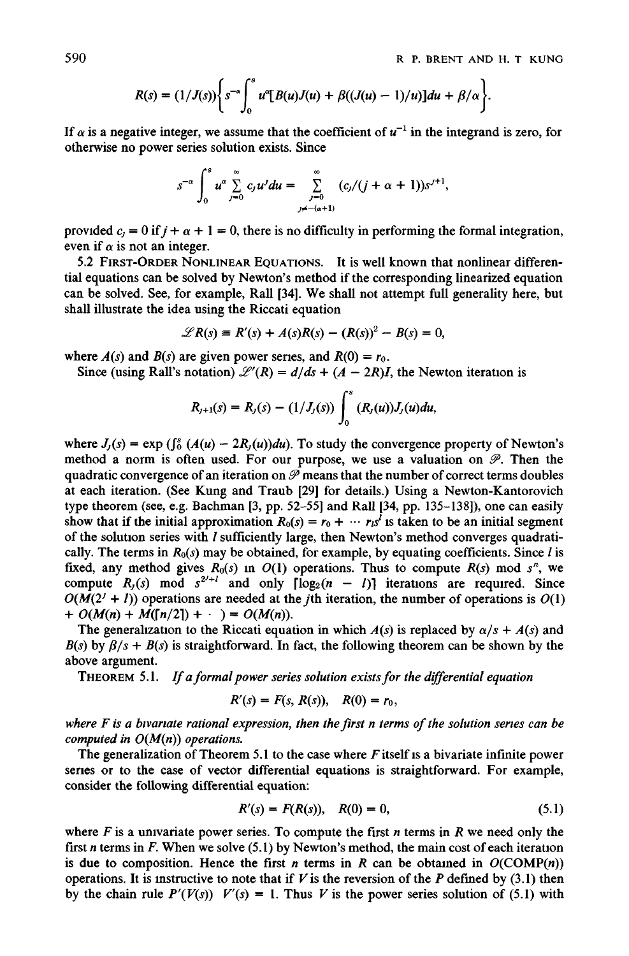$$
R(s) = (1/J(s))\bigg\{s^{-\alpha}\int_0^s u^{\alpha}[B(u)J(u) + \beta((J(u) - 1)/u)]du + \beta/\alpha\bigg\}.
$$

If  $\alpha$  is a negative integer, we assume that the coefficient of  $u^{-1}$  in the integrand is zero, for otherwise no power series solution exists. Since

$$
s^{-\alpha}\int_0^s u^{\alpha}\sum_{j=0}^{\infty}c_ju^j du=\sum_{\substack{j=0 \ j\neq-(\alpha+1)}}^{\infty}(c_j/(j+\alpha+1))s^{j+1},
$$

provided  $c_j = 0$  if  $j + \alpha + 1 = 0$ , there is no difficulty in performing the formal integration, even if  $\alpha$  is not an integer.

5.2 FIRST-ORDER NONLINEAR EQUATIONS. It is well known that nonlinear differential equations can be solved by Newton's method if the corresponding linearized equation can be solved. See, for example, Rail [34]. We shall not attempt full generality here, but shall illustrate the idea using the Riccati equation

$$
\mathscr{L}R(s) \equiv R'(s) + A(s)R(s) - (R(s))^2 - B(s) = 0,
$$

where  $A(s)$  and  $B(s)$  are given power series, and  $R(0) = r_0$ .

Since (using Rall's notation)  $\mathcal{L}'(R) = d/ds + (A - 2R)I$ , the Newton iteration is

$$
R_{j+1}(s) = R_j(s) - (1/J_j(s)) \int_0^s (R_j(u))J_j(u)du,
$$

where  $J_j(s) = \exp \left( \int_0^s (A(u) - 2R_j(u))du \right)$ . To study the convergence property of Newton's method a norm is often used. For our purpose, we use a valuation on  $\mathcal{P}$ . Then the quadratic convergence of an iteration on  $\mathcal P$  means that the number of correct terms doubles at each iteration. (See Kung and Traub [29] for details.) Using a Newton-Kantorovich type theorem (see, e.g. Bachman [3, pp. 52–55] and Rall [34, pp.  $135-138$ ]), one can easily show that if the initial approximation  $R_0(s) = r_0 + \cdots + r_s = r_s$  is taken to be an initial segment of the solution series with  $I$  sufficiently large, then Newton's method converges quadratically. The terms in  $R_0(s)$  may be obtained, for example, by equating coefficients. Since  $l$  is fixed, any method gives  $R_0(s)$  in  $O(1)$  operations. Thus to compute  $R(s)$  mod  $s^n$ , we compute  $R_j(s)$  mod  $s^{2j+1}$  and only  $\lceil \log_2(n - l) \rceil$  iterations are required. Since  $O(M(2' + l))$  operations are needed at the *j*th iteration, the number of operations is  $O(1)$ *+*  $O(M(n) + M([n/2]) + \cdot \cdot) = O(M(n)).$ 

The generalization to the Riccati equation in which  $A(s)$  is replaced by  $\alpha/s + A(s)$  and  $B(s)$  by  $\beta/s + B(s)$  is straightforward. In fact, the following theorem can be shown by the above argument.

THEOREM 5.1. *If a formal power series solution exists for the differential equation* 

$$
R'(s) = F(s, R(s)), \quad R(0) = r_0,
$$

*where F is a btvanate rational expression, then the first n terms of the solution series can be computed in O(M(n)) operations.* 

The generalization of Theorem 5.1 to the case where  $F$  itself is a bivariate infinite power series or to the case of vector differential equations is straightforward. For example, consider the following differential equation:

$$
R'(s) = F(R(s)), \quad R(0) = 0,
$$
\n(5.1)

where  $F$  is a univariate power series. To compute the first  $n$  terms in  $R$  we need only the first n terms in  $F$ . When we solve (5.1) by Newton's method, the main cost of each iteration is due to composition. Hence the first *n* terms in *R* can be obtained in  $O(COMP(n))$ operations. It is instructive to note that if V is the reversion of the P defined by (3.1) then by the chain rule  $P'(V(s))$   $V'(s) = 1$ . Thus V is the power series solution of (5.1) with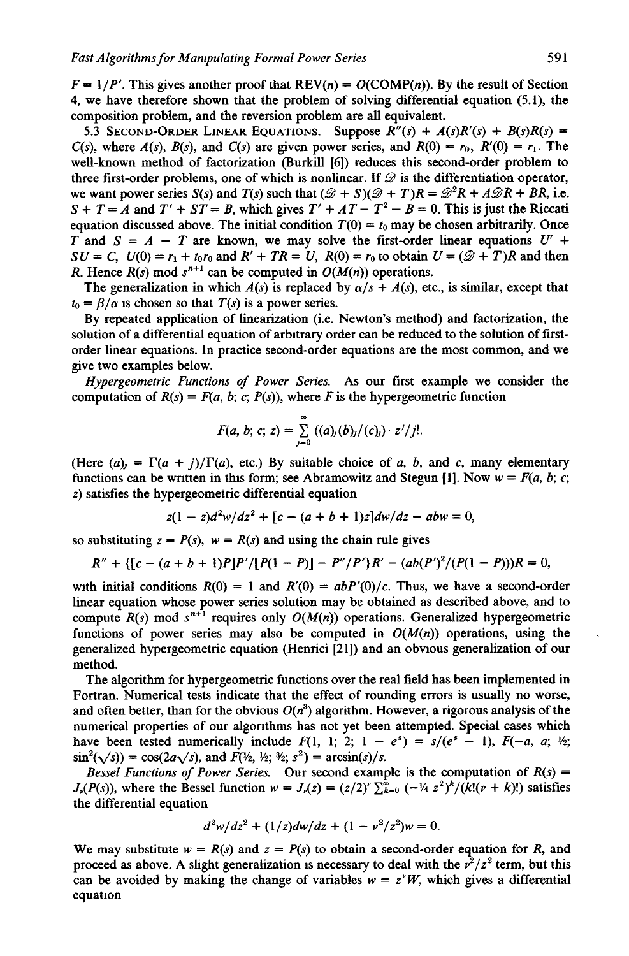$F = 1/P'$ . This gives another proof that  $REV(n) = O(COMP(n))$ . By the result of Section 4, we have therefore shown that the problem of solving differential equation (5.1), the composition problem, and the reversion problem are all equivalent.

5.3 SECOND-ORDER LINEAR EQUATIONS. Suppose  $R''(s) + A(s)R'(s) + B(s)R(s) =$ *C(s), where*  $A(s)$ *,*  $B(s)$ *, and*  $C(s)$  *are given power series, and*  $R(0) = r_0$ *,*  $R'(0) = r_1$ *. The* well-known method of factorization (Burkill [6]) reduces this second-order problem to three first-order problems, one of which is nonlinear. If  $\mathscr D$  is the differentiation operator, we want power series *S(s)* and *T(s)* such that  $(\mathcal{D} + S)(\mathcal{D} + T)R = \mathcal{D}^2R + A\mathcal{D}R + BR$ , i.e.  $S + T = A$  and  $T' + ST = B$ , which gives  $T' + AT - T^2 - B = 0$ . This is just the Riccati equation discussed above. The initial condition  $T(0) = t_0$  may be chosen arbitrarily. Once T and  $S = A - T$  are known, we may solve the first-order linear equations U' + *SU* = *C*,  $U(0) = r_1 + t_0 r_0$  and  $R' + TR = U$ ,  $R(0) = r_0$  to obtain  $U = (\mathcal{D} + T)R$  and then *R*. Hence  $R(s)$  mod  $s^{n+1}$  can be computed in  $O(M(n))$  operations.

The generalization in which  $A(s)$  is replaced by  $\alpha/s + A(s)$ , etc., is similar, except that  $t_0 = \frac{\beta}{\alpha}$  is chosen so that  $T(s)$  is a power series.

By repeated application of linearization (i.e. Newton's method) and factorization, the solution of a differential equation of arbitrary order can be reduced to the solution of firstorder linear equations. In practice second-order equations are the most common, and we give two examples below.

*Hypergeometric Functions of Power Series.* As our first example we consider the computation of  $R(s) = F(a, b; c; P(s))$ , where F is the hypergeometric function

$$
F(a, b; c; z) = \sum_{j=0}^{\infty} ((a)_j(b)_j/(c)_j) \cdot z^j/j!.
$$

(Here  $(a)_{i} = \Gamma(a + i)/\Gamma(a)$ , etc.) By suitable choice of a, b, and c, many elementary functions can be written in this form; see Abramowitz and Stegun [1]. Now  $w = F(a, b; c;$ z) satisfies the hypergeometric differential equation

$$
z(1-z)d^2w/dz^2 + [c - (a+b+1)z]dw/dz - abw = 0,
$$

so substituting  $z = P(s)$ ,  $w = R(s)$  and using the chain rule gives

$$
R'' + \{ [c - (a + b + 1)P]P' / [P(1 - P)] - P''/P' \}R' - (ab(P')^2 / (P(1 - P)))R = 0,
$$

with initial conditions  $R(0) = 1$  and  $R'(0) = abP'(0)/c$ . Thus, we have a second-order linear equation whose power series solution may be obtained as described above, and to compute  $R(s)$  mod  $s^{n+1}$  requires only  $O(M(n))$  operations. Generalized hypergeometric functions of power series may also be computed in  $O(M(n))$  operations, using the generalized hypergeometric equation (Henrici [21]) and an obvious generalization of our method.

The algorithm for hypergeometric functions over the real field has been implemented in Fortran. Numerical tests indicate that the effect of rounding errors is usually no worse, and often better, than for the obvious  $O(n^3)$  algorithm. However, a rigorous analysis of the numerical properties of our algonthms has not yet been attempted. Special cases which have been tested numerically include  $F(1, 1; 2; 1 - e^s) = s/(e^s - 1)$ ,  $F(-a, a; \mathcal{V}_s)$ ;  $\sin^2(\sqrt{s}) = \cos(2a\sqrt{s})$ , and  $F(\frac{1}{2}, \frac{1}{2}; \frac{3}{2}; s^2) = \arcsin(s)/s$ .

*Bessel Functions of Power Series.* Our second example is the computation of  $R(s)$  =  $J_{\nu}(P(s))$ , where the Bessel function  $w = J_{\nu}(z) = (z/2)^{\nu} \sum_{k=0}^{\infty} (-\frac{1}{4} z^2)^k/(k!(\nu + k)!)$  satisfies the differential equation

$$
d^2w/dz^2 + (1/z)dw/dz + (1 - \nu^2/z^2)w = 0.
$$

We may substitute  $w = R(s)$  and  $z = P(s)$  to obtain a second-order equation for R, and proceed as above. A slight generalization is necessary to deal with the  $v^2/z^2$  term, but this can be avoided by making the change of variables  $w = z<sup>r</sup>W$ , which gives a differential equation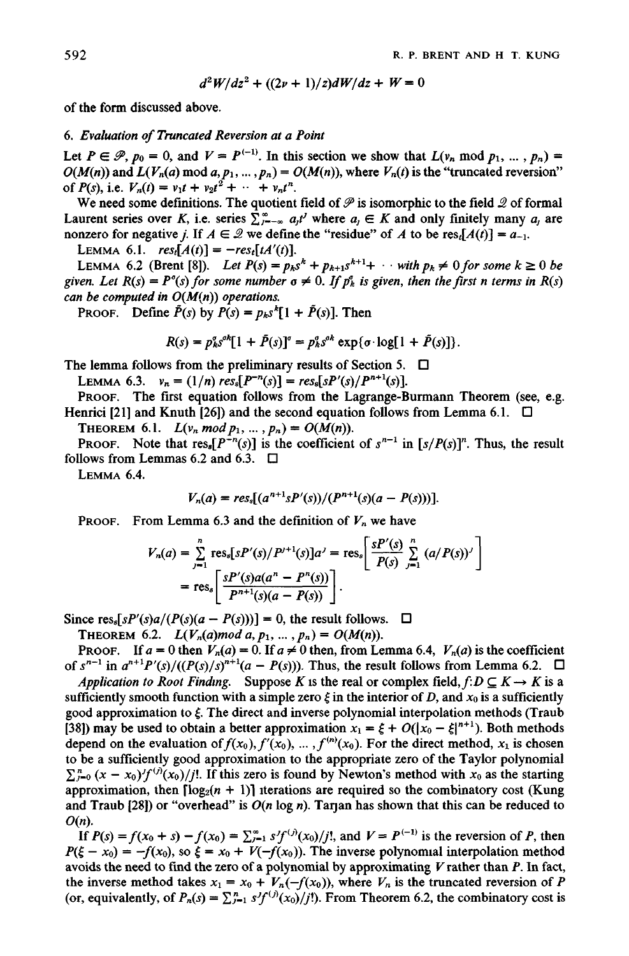$$
d^2W/dz^2 + ((2\nu + 1)/z)dW/dz + W = 0
$$

of the form discussed above.

### *6. Evaluation of Truncated Reversion at a Point*

Let  $P \in \mathcal{P}, p_0 = 0$ , and  $V = P^{(-1)}$ . In this section we show that  $L(v_n \mod p_1, ..., p_n) =$  $O(M(n))$  and  $L(V_n(a) \mod a, p_1, ..., p_n) = O(M(n))$ , where  $V_n(t)$  is the "truncated reversion" of  $P(s)$ , i.e.  $V_n(t) = v_1 t + v_2 t^2 + \cdots + v_n t^n$ .

We need some definitions. The quotient field of  $\mathscr P$  is isomorphic to the field  $\mathscr Q$  of formal Laurent series over K, i.e. series  $\sum_{r=-\infty}^{\infty} a_r t'$  where  $a_r \in K$  and only finitely many  $a_r$  are nonzero for negative *j*. If  $A \in \mathcal{Q}$  we define the "residue" of A to be res $\{A(t)\} = a_{-1}$ .

LEMMA 6.1.  $res<sub>t</sub>[A(t)] = -res<sub>t</sub>[tA'(t)].$ 

LEMMA 6.2 (Brent [8]). *Let*  $P(s) = p_k s^k + p_{k+1} s^{k+1} + \cdots$  with  $p_k \neq 0$  for some  $k \geq 0$  be given. Let  $R(s) = P^{\circ}(s)$  for some number  $\sigma \neq 0$ . If  $p_k^{\circ}$  is given, then the first n terms in  $R(s)$ *can be computed in O(M(n)) operations.* 

PROOF. Define  $\tilde{P}(s)$  by  $P(s) = p_k s^k [1 + \tilde{P}(s)]$ . Then

$$
R(s) = p_{k}^{s} s^{\alpha k} [1 + \tilde{P}(s)]^{\sigma} = p_{k}^{s} s^{\alpha k} \exp{\{\sigma \cdot \log[1 + \tilde{P}(s)]\}}.
$$

The lemma follows from the preliminary results of Section 5.  $\Box$ 

LEMMA 6.3.  $v_n = (1/n) \text{ res}_{s}[P^{-n}(s)] = \text{res}_{s}[sP'(s)/P^{n+1}(s)].$ 

PROOF. The first equation follows from the Lagrange-Burmann Theorem (see, e.g. Henrici [21] and Knuth [26]) and the second equation follows from Lemma 6.1.  $\Box$ 

THEOREM 6.1.  $L(v_n \mod p_1, ..., p_n) = O(M(n)).$ 

PROOF. Note that  $res_s[P^{-n}(s)]$  is the coefficient of  $s^{n-1}$  in  $[s/P(s)]^n$ . Thus, the result follows from Lemmas 6.2 and 6.3.  $\Box$ 

LEMMA 6.4.

$$
V_n(a) = res_s[(a^{n+1}sP'(s))/(P^{n+1}(s)(a-P(s)))].
$$

PROOF. From Lemma 6.3 and the definition of  $V_n$  we have

$$
V_n(a) = \sum_{j=1}^n \text{res}_s[sP'(s)/P^{j+1}(s)]a^j = \text{res}_s\left[\frac{sP'(s)}{P(s)}\sum_{j=1}^n (a/P(s))^j\right]
$$
  
= res<sub>s</sub> $\left[\frac{sP'(s)a(a^n - P^n(s))}{P^{n+1}(s)(a - P(s))}\right].$ 

Since res<sub>s</sub> $[sP'(s)a/(P(s)(a - P(s)))]= 0$ , the result follows.  $\Box$ 

THEOREM 6.2.  $L(V_n(a) \mod a, p_1, ..., p_n) = O(M(n)).$ 

PROOF. If  $a = 0$  then  $V_n(a) = 0$ . If  $a \neq 0$  then, from Lemma 6.4,  $V_n(a)$  is the coefficient of  $s^{n-1}$  in  $a^{n+1}P'(s)/((P(s)/s)^{n+1}(a - P(s)))$ . Thus, the result follows from Lemma 6.2.  $\Box$ 

*Application to Root Finding.* Suppose K is the real or complex field,  $f: D \subseteq K \rightarrow K$  is a sufficiently smooth function with a simple zero  $\xi$  in the interior of D, and  $x_0$  is a sufficiently good approximation to  $\xi$ . The direct and inverse polynomial interpolation methods (Traub [38]) may be used to obtain a better approximation  $x_1 = \xi + O(|x_0 - \xi|^{n+1})$ . Both methods depend on the evaluation of  $f(x_0)$ ,  $f'(x_0)$ , ...,  $f^{(n)}(x_0)$ . For the direct method,  $x_1$  is chosen to be a sufficiently good approximation to the appropriate zero of the Taylor polynomial  $\sum_{i=0}^{n} (x - x_0)^{i} f^{(i)}(x_0)/i!$ . If this zero is found by Newton's method with  $x_0$  as the starting approximation, then  $\lceil \log_2(n + 1) \rceil$  iterations are required so the combinatory cost (Kung and Traub [28]) or "overhead" is  $O(n \log n)$ . Tarjan has shown that this can be reduced to  $O(n)$ .

If  $P(s) = f(x_0 + s) - f(x_0) = \sum_{i=1}^{\infty} s f^{(i)}(x_0)/i!$ , and  $V = P^{(-1)}$  is the reversion of P, then  $P(\xi - x_0) = -f(x_0)$ , so  $\xi = x_0 + V(-f(x_0))$ . The inverse polynomial interpolation method avoids the need to find the zero of a polynomial by approximating  $V$  rather than  $P$ . In fact, the inverse method takes  $x_1 = x_0 + V_n(-f(x_0))$ , where  $V_n$  is the truncated reversion of P (or, equivalently, of  $P_n(s) = \sum_{j=1}^n s^j f^{(j)}(x_0)/j!$ ). From Theorem 6.2, the combinatory cost is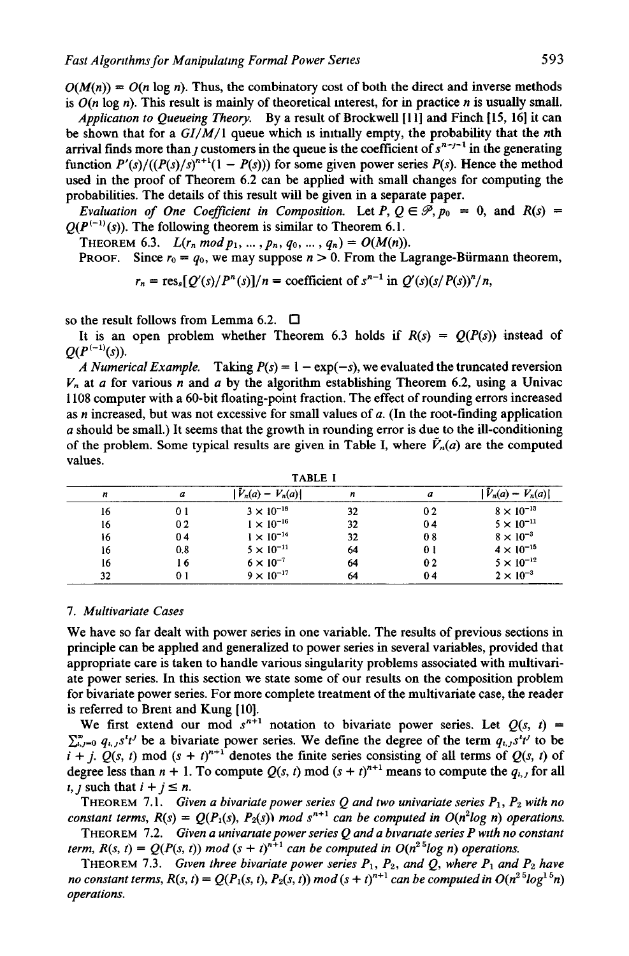$O(M(n)) = O(n \log n)$ . Thus, the combinatory cost of both the direct and inverse methods is  $O(n \log n)$ . This result is mainly of theoretical interest, for in practice n is usually small.

*Applicatwn to Queueing Theory.* By a result of Brockwell [111 and Finch [15, 16] it can be shown that for a  $GI/M/1$  queue which is initially empty, the probability that the *n*th arrival finds more than *j* customers in the queue is the coefficient of  $s^{n-j-1}$  in the generating function  $P'(s)/((P(s)/s)^{n+1}(1 - P(s)))$  for some given power series  $P(s)$ . Hence the method used in the proof of Theorem 6.2 can be applied with small changes for computing the probabilities. The details of this result will be given in a separate paper.

*Evaluation of One Coefficient in Composition.* Let  $P, Q \in \mathcal{P}, p_0 = 0$ , and  $R(s) =$  $O(P^{(-1)}(s))$ . The following theorem is similar to Theorem 6.1.

THEOREM 6.3.  $L(r_n \mod p_1, ..., p_n, q_0, ..., q_n) = O(M(n)).$ 

PROOF. Since  $r_0 = q_0$ , we may suppose  $n > 0$ . From the Lagrange-Bürmann theorem,

 $r_n = \text{res}_{s}[Q'(s)/P^{n}(s)]/n = \text{coefficient of } s^{n-1} \text{ in } Q'(s)(s/P(s))^{n}/n$ ,

so the result follows from Lemma 6.2.  $\Box$ 

It is an open problem whether Theorem 6.3 holds if  $R(s) = Q(P(s))$  instead of  $O(P^{(-1)}(s)).$ 

*A Numerical Example.* Taking  $P(s) = 1 - \exp(-s)$ , we evaluated the truncated reversion  $V_n$  at a for various n and a by the algorithm establishing Theorem 6.2, using a Univac 1108 computer with a 60-bit floating-point fraction. The effect of rounding errors increased as n increased, but was not excessive for small values of  $a$ . (In the root-finding application a should be small.) It seems that the growth in rounding error is due to the ill-conditioning of the problem. Some typical results are given in Table I, where  $V_n(a)$  are the computed values.

| .  |     |                     |    |     |                      |
|----|-----|---------------------|----|-----|----------------------|
| n  | a   | $V_n(a) - V_n(a)$   |    | а   | $V_n(a)$<br>$V_n(a)$ |
| 16 | 01  | $3 \times 10^{-18}$ | 32 | 02  | $8 \times 10^{-13}$  |
| 16 | 02  | $1 \times 10^{-16}$ | 32 | 04  | $5 \times 10^{-11}$  |
| 16 | 04  | $1 \times 10^{-14}$ | 32 | 08  | $8 \times 10^{-3}$   |
| 16 | 0.8 | $5 \times 10^{-11}$ | 64 | 0 I | $4 \times 10^{-15}$  |
| 16 | l 6 | $6 \times 10^{-7}$  | 64 | 02  | $5 \times 10^{-12}$  |
| 32 |     | $9 \times 10^{-17}$ | 64 | 04  | $2 \times 10^{-3}$   |
|    |     |                     |    |     |                      |

TABLE I

#### *7. Multivariate Cases*

We have so far dealt with power series in one variable. The results of previous sections in principle can be applied and generalized to power series in several variables, provided that appropriate care is taken to handle various singularity problems associated with multivariate power series. In this section we state some of our results on the composition problem for bivariate power series. For more complete treatment of the multivariate case, the reader is referred to Brent and Kung [10].

We first extend our mod  $s^{n+1}$  notation to bivariate power series. Let  $Q(s, t)$  =  $\sum_{i,j=0}^{\infty} q_{i,j} s^{i} t^{j}$  be a bivariate power series. We define the degree of the term  $q_{i,j} s^{i} t^{j}$  to be  $\vec{i} + \vec{j}$ .  $\vec{Q}(s, t)$  mod  $(s + t)^{n+1}$  denotes the finite series consisting of all terms of  $Q(s, t)$  of degree less than  $n + 1$ . To compute  $Q(s, t)$  mod  $(s + t)^{n+1}$  means to compute the  $q_{i,j}$  for all *i*, *j* such that  $i + j \leq n$ .

THEOREM 7.1. *Given a bivariate power series Q and two univariate series*  $P_1$ ,  $P_2$  with no *constant terms,*  $R(s) = Q(P_1(s), P_2(s))$  *mod*  $s^{n+1}$  *can be computed in*  $O(n^2 \log n)$  *operations.* 

THEOREM 7.2. *Given a univariate power series Q and a bivariate series P with no constant term,*  $R(s, t) = Q(P(s, t))$  *mod*  $(s + t)^{n+1}$  *can be computed in*  $O(n^{2.5} \log n)$  *operations.* 

THEOREM 7.3. *Given three bivariate power series*  $P_1$ ,  $P_2$ , and  $Q$ , where  $P_1$  and  $P_2$  have *no constant terms,*  $R(s, t) = Q(P_1(s, t), P_2(s, t)) \mod (s + t)^{n+1}$  can be computed in  $O(n^{2.5} \log^{1.5} n)$ *operations.*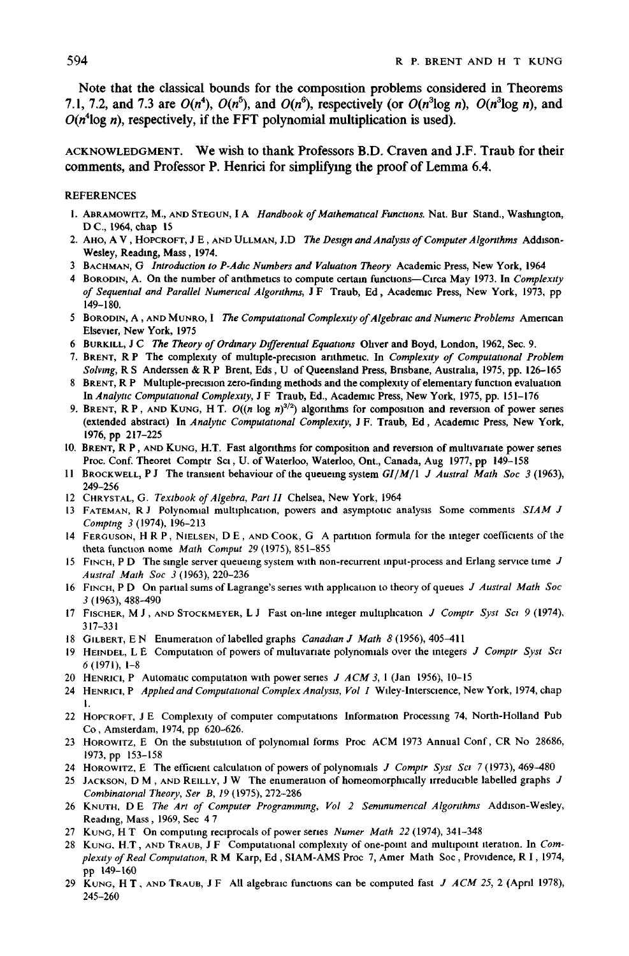**Note that the classical bounds for the composition problems considered in Theorems**  7.1, 7.2, and 7.3 are  $O(n^4)$ ,  $O(n^5)$ , and  $O(n^6)$ , respectively (or  $O(n^3 \log n)$ ,  $O(n^3 \log n)$ , and  $O(n<sup>4</sup> \log n)$ , respectively, if the FFT polynomial multiplication is used).

# **ACKNOWLEDGMENT. We wish to thank Professors B.D. Craven and J.F. Traub for their comments, and Professor P. Henrici for simplifying the proof of Lemma 6.4.**

## REFERENCES

- 1. ABRAMOWITZ, M., AND STEGUN, | A *Handbook of Mathematical Functions.* Nat. Bur Stand., Washington, D C., 1964, chap 15
- 2. AHO, A V, HOPCROFT, J E, AND ULLMAN, J.D The *Design and Analysis of Computer Algorithms* Addison-**Wesley, Reading, Mass,** 1974.
- **3 BACHMAN, (3** *Introduction to P-Adic Numbers and Valuation Theory* Academic Press, New York, 1964
- 4 BORODIN, A. On the number of anthmetlcs to compute certain funcUons--Clrca May 1973. In *Complexity of Sequential and Parallel Numerical Algor:thms,* J F Traub, Ed, Academtc Press, New York, 1973, pp 149-180.
- 5 BORODIN, A, AND MUNRO, I The *Computational Complexity of Algebraic and Numeric Problems* American Elsevier, New York, 1975
- 6 BURKILL, *J C The Theory of Ordinary Dtfferenual Equations* Ohver and Boyd, London, 1962, Sec. 9.
- 7. BRENT, R P The complexity of multiple-precision anthmeuc. In *Complexity of Computational Problem Solving,* R S Anderssen & R P Brent, Eds, U of Queensland Press, Bnsbane, Austraha, 1975, pp. 126-165
- 8 BRENT, R P Multiple-precision zero-finding methods and the complexity of elementary function evaluation In *Analytic Computational Complexity,* J F Tranb, Ed., Academic Press, New York, 1975, pp. 151-176
- 9. BRENT, R P, AND KUNG, H T.  $O((n \log n)^{3/2})$  algorithms for composition and reversion of power senes (extended abstract) In *Analytw Computational Complexity,* J F. Traub, Ed, Academic Press, New York, 1976, pp 217-225
- 10. BRENT, R P, AND KUNG, H.T. Fast algorithms for composition and reversion of multivariate power senes Proc. Conf. Theoret Comptr Sci, U. of Waterloo, Waterloo, Ont., Canada, Aug 1977, pp 149-158
- 11 BROCKWELL, PJ The transtent behaviour of the queuemg system *G1/M/I J Austral Math Soc 3* (1963), 249-256
- 12 CHRYSTAL, G. *Textbook of Algebra, Part II* Chelsea, New York, 1964
- 13 FATEMAN, R J Polynomml multiplication, powers and asymptotic analysis Some comments *SIAM J Comping 3* (1974), 196-213
- 14 FERGUSON, H R P, NIELSEN, D E, AND COOK, G A partition formula for the integer coefficients of the theta function home *Math Comput 29* (1975), 851-855
- 15 FINCH, P D The single server queueing system with non-recurrent input-process and Erlang service time J *Austral Math Soc 3* (1963), 220-236
- 16 FINCH, P D On partml sums of Lagrange's series with application to theory of queues *J Austral Math Soc*   $3(1963), 488 - 490$
- 17 FISCHER, M J, AND STOCKMEYER, L J Fast on-hne integer multiplication *J Comptr Syst Sci 9* (1974). 317-331
- 18 GILBERT, E N Enumeration of labelled graphs *Canadtan J Math 8* (1956), 405-411
- 19 HEtNDEL, L E Computation of powers of multivariate polynomials over the integers *J Comptr Syst Sc:*  6 (1971), 1-8
- 20 HENRICI, P Automatic computation with power series *J ACM* 3, 1 (Jan 1956), 10-15
- 24 HENRtC1, P *Apphed and Computational Complex Analysis, Vol 1* Wdey-lntersclence, New York, 1974, chap 1.
- 22 HOPCROFT, J E Complexity of computer computattons Information Processing 74, North-Holland Pub Co, Amsterdam, 1974, pp 620-626.
- 23 HOROWITZ, E On the substitution of polynomial forms Proc ACM 1973 Annual Conf, CR No 28686, 1973, pp 153-158
- 24 HOROWtTZ, E The efficient calculation of powers of polynomials *J Comptr Syst Sc:* 7(1973), 469-480
- 25 JACKSON, D M, AND REILLY, J W The enumeration of homeomorphically irreducible labelled graphs J *Combinatorial Theory, Ser B, 19* (1975), 272-286
- 26 KNOTH, DE *The Art of Computer Programming, Vol 2 Semmumerlcal Algorithms* Addison-Wesley, Reading, Mass, 1969, Sec 4 7
- 27 KUNG, H T On computing reciprocals of power series *Numer Math 22* (1974), 341-348
- 28 KUNG, H.T, AND TRAUB, J F Computational complexity of one-point and multlpomt iteration. In *Complextty of Real Computation,* R M Karp, Ed, SIAM-AMS Proc 7, Amer Math Soc, Providence, R I, 1974, pp 149-160
- 29 KUNG, H T. AND TRAUB, J F All algebraic functions can be computed fast *J ACM 25,* 2 (April 1978), 245-260